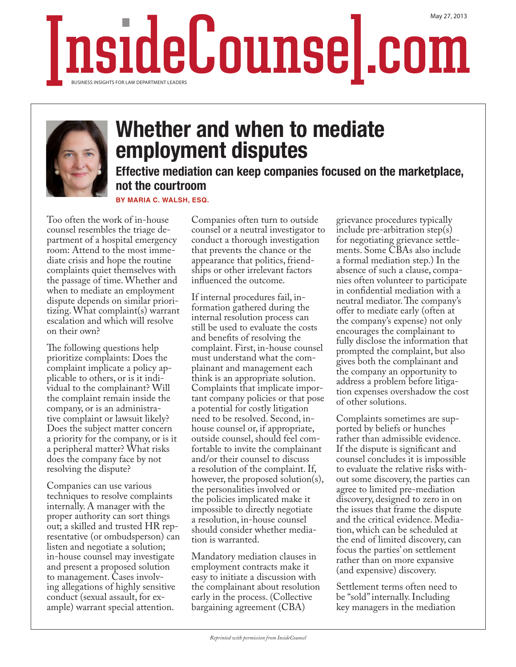## InsideCounsel.com BUSINESS INSIGHTS FOR LAW DEPARTMENT LEADER!



## Whether and when to mediate employment disputes

Effective mediation can keep companies focused on the marketplace, not the courtroom

**BY MARIA C. WALSH, ESQ.**

Too often the work of in-house counsel resembles the triage department of a hospital emergency room: Attend to the most immediate crisis and hope the routine complaints quiet themselves with the passage of time. Whether and when to mediate an employment dispute depends on similar prioritizing. What complaint(s) warrant escalation and which will resolve on their own?

The following questions help prioritize complaints: Does the complaint implicate a policy applicable to others, or is it individual to the complainant? Will the complaint remain inside the company, or is an administrative complaint or lawsuit likely? Does the subject matter concern a priority for the company, or is it a peripheral matter? What risks does the company face by not resolving the dispute?

Companies can use various techniques to resolve complaints internally. A manager with the proper authority can sort things out; a skilled and trusted HR representative (or ombudsperson) can listen and negotiate a solution; in-house counsel may investigate and present a proposed solution to management. Cases involving allegations of highly sensitive conduct (sexual assault, for example) warrant special attention.

Companies often turn to outside counsel or a neutral investigator to conduct a thorough investigation that prevents the chance or the appearance that politics, friendships or other irrelevant factors influenced the outcome.

If internal procedures fail, information gathered during the internal resolution process can still be used to evaluate the costs and benefits of resolving the complaint. First, in-house counsel must understand what the complainant and management each think is an appropriate solution. Complaints that implicate important company policies or that pose a potential for costly litigation need to be resolved. Second, inhouse counsel or, if appropriate, outside counsel, should feel comfortable to invite the complainant and/or their counsel to discuss a resolution of the complaint. If, however, the proposed solution(s), the personalities involved or the policies implicated make it impossible to directly negotiate a resolution, in-house counsel should consider whether mediation is warranted.

Mandatory mediation clauses in employment contracts make it easy to initiate a discussion with the complainant about resolution early in the process. (Collective bargaining agreement (CBA)

grievance procedures typically include pre-arbitration step(s) for negotiating grievance settlements. Some CBAs also include a formal mediation step.) In the absence of such a clause, companies often volunteer to participate in confidential mediation with a neutral mediator. The company's offer to mediate early (often at the company's expense) not only encourages the complainant to fully disclose the information that prompted the complaint, but also gives both the complainant and the company an opportunity to address a problem before litigation expenses overshadow the cost of other solutions.

Complaints sometimes are supported by beliefs or hunches rather than admissible evidence. If the dispute is significant and counsel concludes it is impossible to evaluate the relative risks without some discovery, the parties can agree to limited pre-mediation discovery, designed to zero in on the issues that frame the dispute and the critical evidence. Mediation, which can be scheduled at the end of limited discovery, can focus the parties' on settlement rather than on more expansive (and expensive) discovery.

Settlement terms often need to be "sold" internally. Including key managers in the mediation